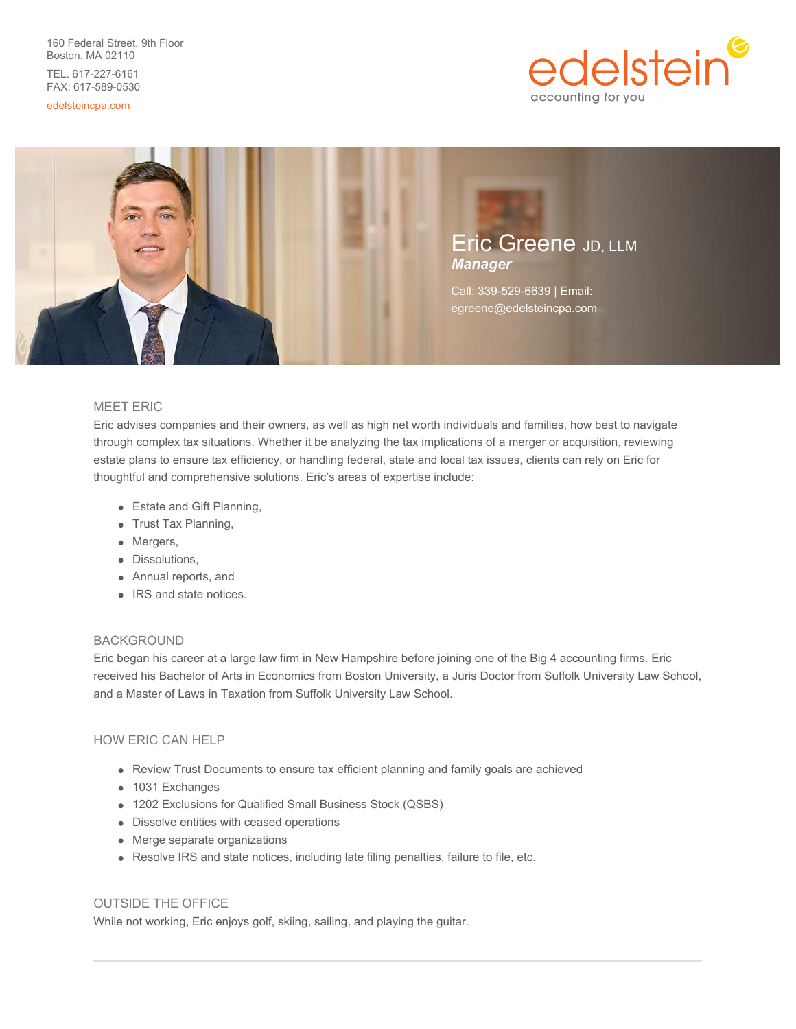160 Federal Street, 9th Floor Boston, MA 02110 TEL. 617-227-6161 FAX: 617-589-0530

edelsteincpa.com





# MEET ERIC

Eric advises companies and their owners, as well as high net worth individuals and families, how best to navigate through complex tax situations. Whether it be analyzing the tax implications of a merger or acquisition, reviewing estate plans to ensure tax efficiency, or handling federal, state and local tax issues, clients can rely on Eric for thoughtful and comprehensive solutions. Eric's areas of expertise include:

- Estate and Gift Planning,
- Trust Tax Planning,
- Mergers,
- Dissolutions,
- Annual reports, and
- IRS and state notices.

#### BACKGROUND

Eric began his career at a large law firm in New Hampshire before joining one of the Big 4 accounting firms. Eric received his Bachelor of Arts in Economics from Boston University, a Juris Doctor from Suffolk University Law School, and a Master of Laws in Taxation from Suffolk University Law School.

### HOW ERIC CAN HELP

- Review Trust Documents to ensure tax efficient planning and family goals are achieved
- 1031 Exchanges
- 1202 Exclusions for Qualified Small Business Stock (QSBS)
- Dissolve entities with ceased operations
- Merge separate organizations
- Resolve IRS and state notices, including late filing penalties, failure to file, etc.

## OUTSIDE THE OFFICE

While not working, Eric enjoys golf, skiing, sailing, and playing the guitar.